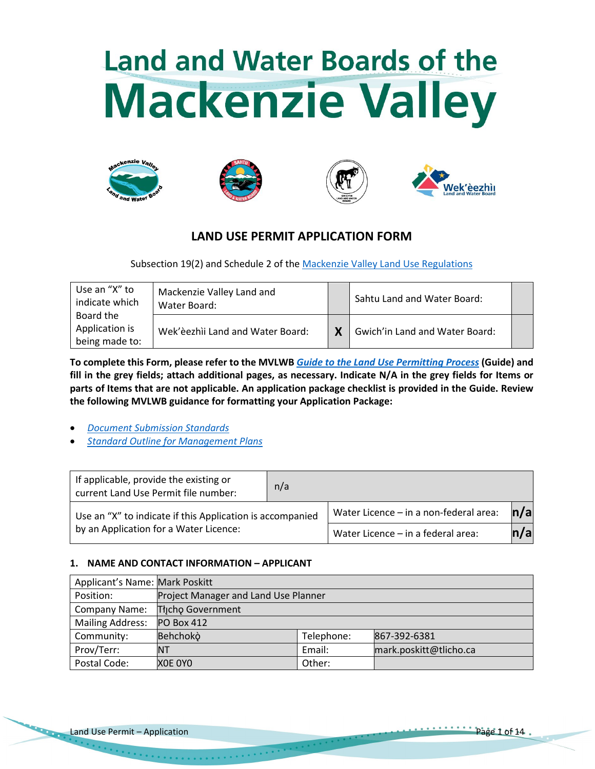# **Land and Water Boards of the Mackenzie Valley**









# **LAND USE PERMIT APPLICATION FORM**

Subsection 19(2) and Schedule 2 of the [Mackenzie Valley Land Use Regulations](http://laws-lois.justice.gc.ca/PDF/SOR-98-429.pdf)

| Use an "X" to<br>indicate which               | Mackenzie Valley Land and<br>Water Board: |   | Sahtu Land and Water Board:    |  |
|-----------------------------------------------|-------------------------------------------|---|--------------------------------|--|
| Board the<br>Application is<br>being made to: | Wek'èezhìi Land and Water Board:          | X | Gwich'in Land and Water Board: |  |

**To complete this Form, please refer to the MVLWB** *[Guide to the Land Use Permitting Process](https://wlwb.ca/sites/default/files/2021-08/LWB%20Guide%20to%20the%20Land%20Use%20Permitting%20Process%20-%20FINAL%20-%20Aug%2030_21.pdf)* **(Guide) and fill in the grey fields; attach additional pages, as necessary. Indicate N/A in the grey fields for Items or parts of Items that are not applicable. An application package checklist is provided in the Guide. Review the following MVLWB guidance for formatting your Application Package:**

- *[Document Submission Standards](https://wlwb.ca/sites/default/files/mvlwb_document_submission_standards_-_jan_2019.pdf)*
- *[Standard Outline for Management Plans](https://mvlwb.com/sites/default/files/2021-06/LWB%20Standard%20Outline%20for%20Management%20Plans%20-%20Approved%20-%20Jun%2010_21_0.pdf)*

| If applicable, provide the existing or<br>current Land Use Permit file number: |                                        |                   |
|--------------------------------------------------------------------------------|----------------------------------------|-------------------|
| Use an "X" to indicate if this Application is accompanied                      | Water Licence - in a non-federal area: | $\vert n/a \vert$ |
| by an Application for a Water Licence:                                         | Water Licence - in a federal area:     | n/a               |

# **1. NAME AND CONTACT INFORMATION – APPLICANT**

| Applicant's Name: Mark Poskitt |                                      |            |                        |  |  |  |  |
|--------------------------------|--------------------------------------|------------|------------------------|--|--|--|--|
| Position:                      | Project Manager and Land Use Planner |            |                        |  |  |  |  |
| Company Name:                  | Tłjcho Government                    |            |                        |  |  |  |  |
| <b>Mailing Address:</b>        | <b>PO Box 412</b>                    |            |                        |  |  |  |  |
| Community:                     | Behchokò                             | Telephone: | 867-392-6381           |  |  |  |  |
| Prov/Terr:                     | ΝT                                   | Email:     | mark.poskitt@tlicho.ca |  |  |  |  |
| Postal Code:                   | XOE OYO                              | Other:     |                        |  |  |  |  |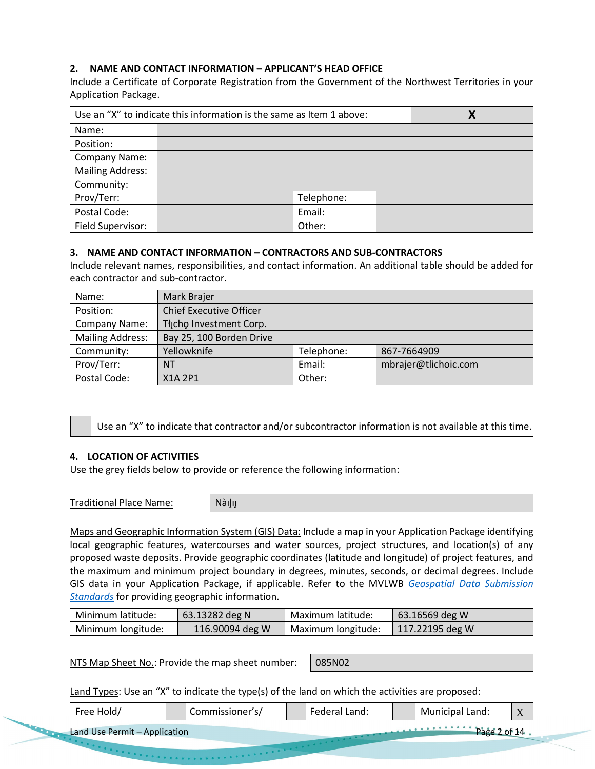# **2. NAME AND CONTACT INFORMATION – APPLICANT'S HEAD OFFICE**

Include a Certificate of Corporate Registration from the Government of the Northwest Territories in your Application Package.

| Use an "X" to indicate this information is the same as Item 1 above: | Χ          |  |
|----------------------------------------------------------------------|------------|--|
| Name:                                                                |            |  |
| Position:                                                            |            |  |
| Company Name:                                                        |            |  |
| <b>Mailing Address:</b>                                              |            |  |
| Community:                                                           |            |  |
| Prov/Terr:                                                           | Telephone: |  |
| Postal Code:                                                         | Email:     |  |
| Field Supervisor:                                                    | Other:     |  |

# **3. NAME AND CONTACT INFORMATION – CONTRACTORS AND SUB-CONTRACTORS**

Include relevant names, responsibilities, and contact information. An additional table should be added for each contractor and sub-contractor.

| Name:                   | Mark Brajer                    |            |                      |
|-------------------------|--------------------------------|------------|----------------------|
| Position:               | <b>Chief Executive Officer</b> |            |                      |
| Company Name:           | Thcho Investment Corp.         |            |                      |
| <b>Mailing Address:</b> | Bay 25, 100 Borden Drive       |            |                      |
| Community:              | Yellowknife                    | Telephone: | 867-7664909          |
| Prov/Terr:              | <b>NT</b>                      | Email:     | mbrajer@tlichoic.com |
| Postal Code:            | X1A 2P1                        | Other:     |                      |

Use an "X" to indicate that contractor and/or subcontractor information is not available at this time.

#### **4. LOCATION OF ACTIVITIES**

Use the grey fields below to provide or reference the following information:

Traditional Place Name: | Nàılıı

Maps and Geographic Information System (GIS) Data: Include a map in your Application Package identifying local geographic features, watercourses and water sources, project structures, and location(s) of any proposed waste deposits. Provide geographic coordinates (latitude and longitude) of project features, and the maximum and minimum project boundary in degrees, minutes, seconds, or decimal degrees. Include GIS data in your Application Package, if applicable. Refer to the MVLWB *[Geospatial Data Submission](https://mvlwb.com/sites/default/files/2021-07/Geospatial%20Data%20Submission%20Standards%20-%20Approved%20July%202021.pdf)  [Standards](https://mvlwb.com/sites/default/files/2021-07/Geospatial%20Data%20Submission%20Standards%20-%20Approved%20July%202021.pdf)* for providing geographic information.

| l Minimum latitude: | 63.13282 deg N  | Maximum latitude:  | $\mid$ 63.16569 deg W |
|---------------------|-----------------|--------------------|-----------------------|
| Minimum longitude:  | 116.90094 deg W | Maximum longitude: | 117.22195 deg W       |

NTS Map Sheet No.: Provide the map sheet number: | 085N02

Land Types: Use an "X" to indicate the type(s) of the land on which the activities are proposed:

| Free Hold | Commissioner's/ |  | Federal Land: | Municipal Land: | $\tau$<br>$\overline{1}$ |  |
|-----------|-----------------|--|---------------|-----------------|--------------------------|--|
|           |                 |  |               |                 |                          |  |

Land Use Permit – Application Page 2 of 14 and 2 of 14 and 2 of 14 and 2 of 14 and 2 of 14 and 2 of 14 and 2 of 14 and 2 of 14 and 2 of 14 and 2 of 14 and 2 of 14 and 2 of 14 and 2 of 14 and 2 of 14 and 2 of 14 and 2 of 14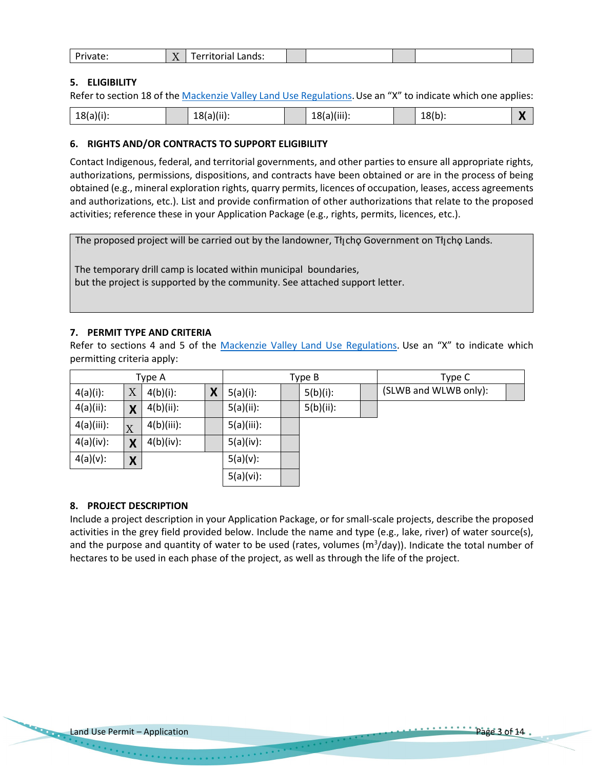|  | .<br>wale." | <b>Service Service</b><br>$\sim$<br>$\mathbf{v}$<br>. | andr.<br>---------<br>Lanus:<br>ι ιινι ιαι |  |  |  |  |  |
|--|-------------|-------------------------------------------------------|--------------------------------------------|--|--|--|--|--|
|--|-------------|-------------------------------------------------------|--------------------------------------------|--|--|--|--|--|

# **5. ELIGIBILITY**

Refer to section 18 of the [Mackenzie Valley Land Use Regulations.](https://mvlwb.com/content/staff-directory-0) Use an "X" to indicate which one applies:

| $18(a)(i)$ :<br>$18(b)$ :<br>18(a)(iii):<br>$18(a)(ii)$ : |
|-----------------------------------------------------------|
|-----------------------------------------------------------|

# **6. RIGHTS AND/OR CONTRACTS TO SUPPORT ELIGIBILITY**

Contact Indigenous, federal, and territorial governments, and other parties to ensure all appropriate rights, authorizations, permissions, dispositions, and contracts have been obtained or are in the process of being obtained (e.g., mineral exploration rights, quarry permits, licences of occupation, leases, access agreements and authorizations, etc.). List and provide confirmation of other authorizations that relate to the proposed activities; reference these in your Application Package (e.g., rights, permits, licences, etc.).

The proposed project will be carried out by the landowner, Tłı cho Government on Tłı cho Lands.

The temporary drill camp is located within municipal boundaries, but the project is supported by the community. See attached support letter.

# **7. PERMIT TYPE AND CRITERIA**

Refer to sections 4 and 5 of the [Mackenzie Valley Land Use Regulations.](http://laws-lois.justice.gc.ca/PDF/SOR-98-429.pdf) Use an "X" to indicate which permitting criteria apply:

| Type A       |                           |              |   | Type B       |  |              |  | Type C                |
|--------------|---------------------------|--------------|---|--------------|--|--------------|--|-----------------------|
| $4(a)(i)$ :  | $\boldsymbol{\mathrm{X}}$ | $4(b)(i)$ :  | X | $5(a)(i)$ :  |  | $5(b)(i)$ :  |  | (SLWB and WLWB only): |
| $4(a)(ii)$ : | X                         | $4(b)(ii)$ : |   | $5(a)(ii)$ : |  | $5(b)(ii)$ : |  |                       |
| 4(a)(iii):   | X                         | 4(b)(iii):   |   | 5(a)(iii):   |  |              |  |                       |
| 4(a)(iv):    | X                         | $4(b)(iv)$ : |   | 5(a)(iv):    |  |              |  |                       |
| $4(a)(v)$ :  | X                         |              |   | $5(a)(v)$ :  |  |              |  |                       |
|              |                           |              |   | 5(a)(vi):    |  |              |  |                       |

# **8. PROJECT DESCRIPTION**

Include a project description in your Application Package, or for small-scale projects, describe the proposed activities in the grey field provided below. Include the name and type (e.g., lake, river) of water source(s), and the purpose and quantity of water to be used (rates, volumes ( $m^3$ /day)). Indicate the total number of hectares to be used in each phase of the project, as well as through the life of the project.

 $\label{eq:2} \begin{split} \mathcal{L}_{\mathcal{A}}(\mathbf{x},\mathbf{y},\mathbf{y}) = \mathcal{L}_{\mathcal{A}}(\mathbf{x},\mathbf{y},\mathbf{y},\mathbf{y},\mathbf{y},\mathbf{y},\mathbf{y},\mathbf{y},\mathbf{y},\mathbf{y}) \end{split}$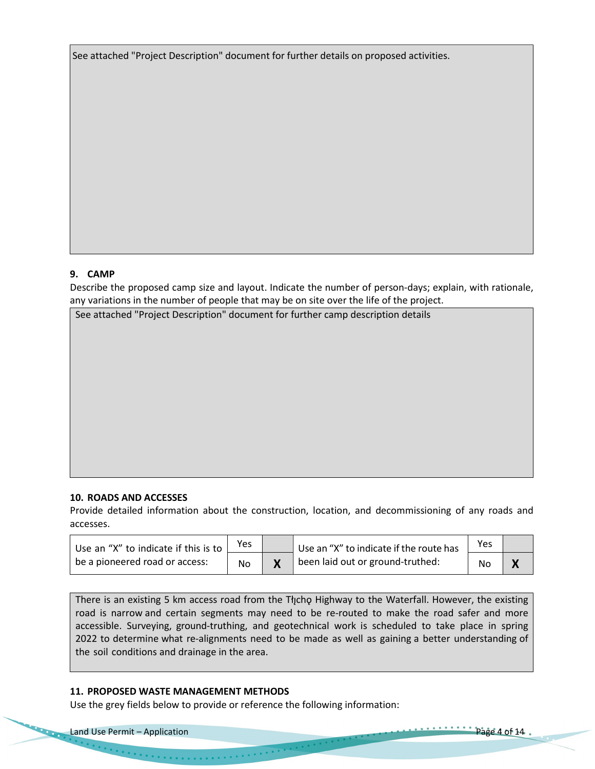See attached "Project Description" document for further details on proposed activities.

# **9. CAMP**

Describe the proposed camp size and layout. Indicate the number of person-days; explain, with rationale, any variations in the number of people that may be on site over the life of the project.

See attached "Project Description" document for further camp description details

#### **10. ROADS AND ACCESSES**

Provide detailed information about the construction, location, and decommissioning of any roads and accesses.

| Use an "X" to indicate if this is to | Yes | Use an "X" to indicate if the route has | Yes |  |
|--------------------------------------|-----|-----------------------------------------|-----|--|
| be a pioneered road or access:       | No  | been laid out or ground-truthed:        | No  |  |

There is an existing 5 km access road from the Tłycho Highway to the Waterfall. However, the existing road is narrow and certain segments may need to be re-routed to make the road safer and more accessible. Surveying, ground-truthing, and geotechnical work is scheduled to take place in spring 2022 to determine what re-alignments need to be made as well as gaining a better understanding of the soil conditions and drainage in the area.

#### **11. PROPOSED WASTE MANAGEMENT METHODS**

Use the grey fields below to provide or reference the following information: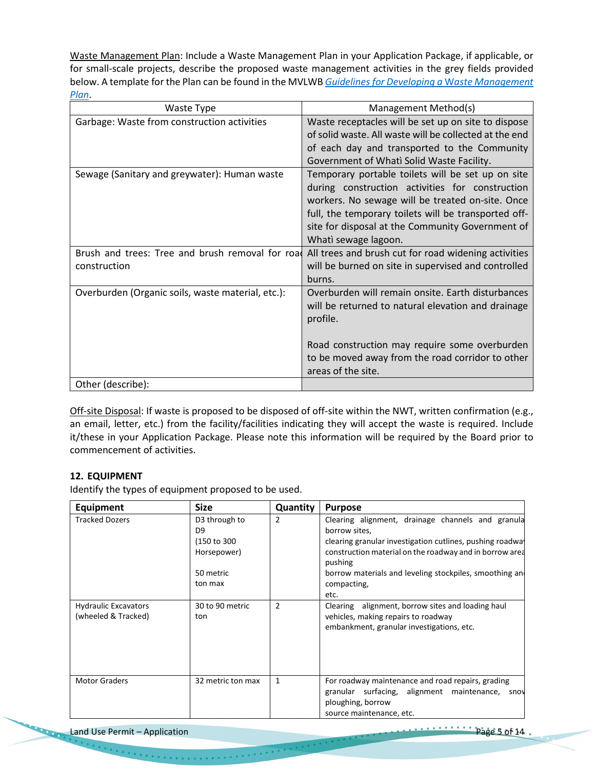Waste Management Plan: Include a Waste Management Plan in your Application Package, if applicable, or for small-scale projects, describe the proposed waste management activities in the grey fields provided below. A template for the Plan can be found in the MVLWB *[Guidelines for Developing a](https://mvlwb.com/sites/default/files/documents/MVLWB-Guidelines-for-Developing-a-Waste-Management-Plan-Mar-31_11-JCWG.pdf)* W*aste Management [Plan](https://mvlwb.com/sites/default/files/documents/MVLWB-Guidelines-for-Developing-a-Waste-Management-Plan-Mar-31_11-JCWG.pdf)*.

| Waste Type                                        | Management Method(s)                                   |
|---------------------------------------------------|--------------------------------------------------------|
| Garbage: Waste from construction activities       | Waste receptacles will be set up on site to dispose    |
|                                                   | of solid waste. All waste will be collected at the end |
|                                                   | of each day and transported to the Community           |
|                                                   | Government of Whati Solid Waste Facility.              |
| Sewage (Sanitary and greywater): Human waste      | Temporary portable toilets will be set up on site      |
|                                                   | during construction activities for construction        |
|                                                   | workers. No sewage will be treated on-site. Once       |
|                                                   | full, the temporary toilets will be transported off-   |
|                                                   | site for disposal at the Community Government of       |
|                                                   | Whati sewage lagoon.                                   |
| Brush and trees: Tree and brush removal for road  | All trees and brush cut for road widening activities   |
| construction                                      | will be burned on site in supervised and controlled    |
|                                                   | burns.                                                 |
| Overburden (Organic soils, waste material, etc.): | Overburden will remain onsite. Earth disturbances      |
|                                                   | will be returned to natural elevation and drainage     |
|                                                   | profile.                                               |
|                                                   |                                                        |
|                                                   | Road construction may require some overburden          |
|                                                   | to be moved away from the road corridor to other       |
|                                                   | areas of the site.                                     |
| Other (describe):                                 |                                                        |

Off-site Disposal: If waste is proposed to be disposed of off-site within the NWT, written confirmation (e.g., an email, letter, etc.) from the facility/facilities indicating they will accept the waste is required. Include it/these in your Application Package. Please note this information will be required by the Board prior to commencement of activities.

# **12. EQUIPMENT**

Identify the types of equipment proposed to be used.

| <b>Equipment</b>                                   | <b>Size</b>                                                                            | Quantity | <b>Purpose</b>                                                                                                                                                                                                                                                                         |
|----------------------------------------------------|----------------------------------------------------------------------------------------|----------|----------------------------------------------------------------------------------------------------------------------------------------------------------------------------------------------------------------------------------------------------------------------------------------|
| <b>Tracked Dozers</b>                              | D3 through to<br>D <sub>9</sub><br>(150 to 300)<br>Horsepower)<br>50 metric<br>ton max | 2        | Clearing alignment, drainage channels and granula<br>borrow sites,<br>clearing granular investigation cutlines, pushing roadwal<br>construction material on the roadway and in borrow area<br>pushing<br>borrow materials and leveling stockpiles, smoothing an<br>compacting,<br>etc. |
| <b>Hydraulic Excavators</b><br>(wheeled & Tracked) | 30 to 90 metric<br>ton                                                                 | 2        | Clearing alignment, borrow sites and loading haul<br>vehicles, making repairs to roadway<br>embankment, granular investigations, etc.                                                                                                                                                  |
| <b>Motor Graders</b>                               | 32 metric ton max                                                                      | 1        | For roadway maintenance and road repairs, grading<br>granular surfacing, alignment maintenance, snow<br>ploughing, borrow<br>source maintenance, etc.                                                                                                                                  |

Land Use Permit – Application Page 5 of 14

. . . . . . . . . . . . . . . .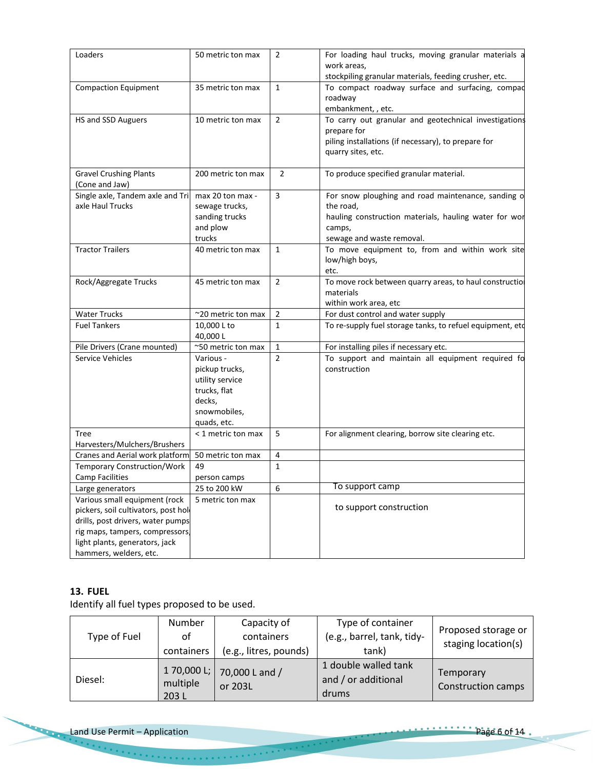| Loaders                                                                                                                                                                                                   | 50 metric ton max                                                                                       | $\overline{2}$ | For loading haul trucks, moving granular materials a<br>work areas,<br>stockpiling granular materials, feeding crusher, etc.                                    |
|-----------------------------------------------------------------------------------------------------------------------------------------------------------------------------------------------------------|---------------------------------------------------------------------------------------------------------|----------------|-----------------------------------------------------------------------------------------------------------------------------------------------------------------|
| <b>Compaction Equipment</b>                                                                                                                                                                               | 35 metric ton max                                                                                       | $\mathbf{1}$   | To compact roadway surface and surfacing, compad<br>roadway<br>embankment, , etc.                                                                               |
| HS and SSD Auguers                                                                                                                                                                                        | 10 metric ton max                                                                                       | $\overline{2}$ | To carry out granular and geotechnical investigations<br>prepare for<br>piling installations (if necessary), to prepare for<br>quarry sites, etc.               |
| <b>Gravel Crushing Plants</b><br>(Cone and Jaw)                                                                                                                                                           | 200 metric ton max                                                                                      | $\overline{2}$ | To produce specified granular material.                                                                                                                         |
| Single axle, Tandem axle and Tri<br>axle Haul Trucks                                                                                                                                                      | max 20 ton max -<br>sewage trucks,<br>sanding trucks<br>and plow<br>trucks                              | 3              | For snow ploughing and road maintenance, sanding o<br>the road,<br>hauling construction materials, hauling water for wor<br>camps,<br>sewage and waste removal. |
| <b>Tractor Trailers</b>                                                                                                                                                                                   | 40 metric ton max                                                                                       | $\mathbf{1}$   | To move equipment to, from and within work site<br>low/high boys,<br>etc.                                                                                       |
| Rock/Aggregate Trucks                                                                                                                                                                                     | 45 metric ton max                                                                                       | $\overline{2}$ | To move rock between quarry areas, to haul constructio<br>materials<br>within work area, etc                                                                    |
| <b>Water Trucks</b>                                                                                                                                                                                       | ~20 metric ton max                                                                                      | $\overline{2}$ | For dust control and water supply                                                                                                                               |
| <b>Fuel Tankers</b>                                                                                                                                                                                       | 10,000 L to<br>40,000L                                                                                  | $\mathbf{1}$   | To re-supply fuel storage tanks, to refuel equipment, etd                                                                                                       |
| Pile Drivers (Crane mounted)                                                                                                                                                                              | ~50 metric ton max                                                                                      | 1              | For installing piles if necessary etc.                                                                                                                          |
| Service Vehicles                                                                                                                                                                                          | Various -<br>pickup trucks,<br>utility service<br>trucks, flat<br>decks,<br>snowmobiles,<br>quads, etc. | $\overline{2}$ | To support and maintain all equipment required fo<br>construction                                                                                               |
| Tree<br>Harvesters/Mulchers/Brushers                                                                                                                                                                      | < 1 metric ton max                                                                                      | 5              | For alignment clearing, borrow site clearing etc.                                                                                                               |
| Cranes and Aerial work platform                                                                                                                                                                           | 50 metric ton max                                                                                       | 4              |                                                                                                                                                                 |
| <b>Temporary Construction/Work</b>                                                                                                                                                                        | 49                                                                                                      | $\mathbf{1}$   |                                                                                                                                                                 |
| <b>Camp Facilities</b>                                                                                                                                                                                    | person camps                                                                                            |                |                                                                                                                                                                 |
| Large generators                                                                                                                                                                                          | 25 to 200 kW                                                                                            | 6              | To support camp                                                                                                                                                 |
| Various small equipment (rock<br>pickers, soil cultivators, post hol-<br>drills, post drivers, water pumps<br>rig maps, tampers, compressors,<br>light plants, generators, jack<br>hammers, welders, etc. | 5 metric ton max                                                                                        |                | to support construction                                                                                                                                         |

# **13. FUEL**

**STARTED** 

Identify all fuel types proposed to be used.

| Type of Fuel | Number<br>οt<br>containers | Capacity of<br>containers<br>(e.g., litres, pounds) | Type of container<br>(e.g., barrel, tank, tidy-<br>tank) | Proposed storage or<br>staging location(s) |
|--------------|----------------------------|-----------------------------------------------------|----------------------------------------------------------|--------------------------------------------|
| Diesel:      | multiple<br>203 L          | 170,000 L; 70,000 L and /<br>or 203L                | 1 double walled tank<br>and / or additional<br>drums     | Temporary<br><b>Construction camps</b>     |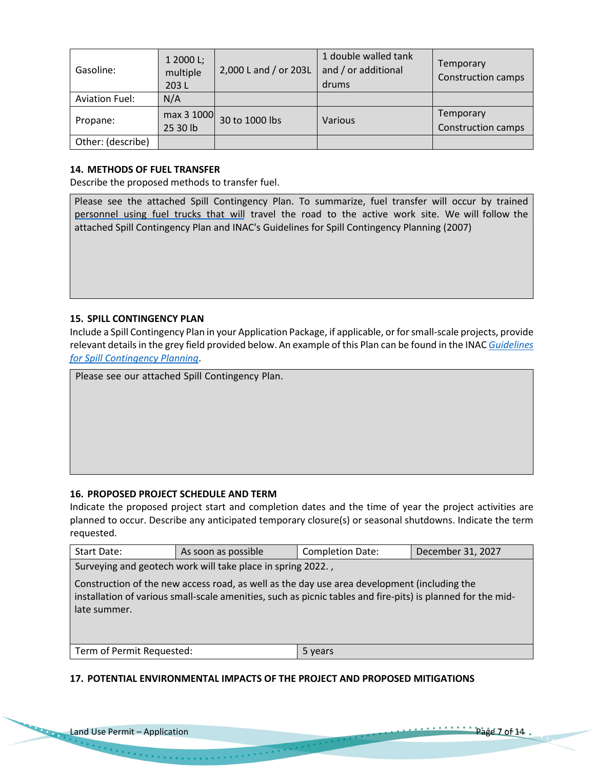| Gasoline:             | 1 2000 L;<br>multiple<br>203L | 2,000 L and / or 203L | 1 double walled tank<br>and / or additional<br>drums | Temporary<br><b>Construction camps</b> |
|-----------------------|-------------------------------|-----------------------|------------------------------------------------------|----------------------------------------|
| <b>Aviation Fuel:</b> | N/A                           |                       |                                                      |                                        |
| Propane:              | max 3 1000<br>25 30 lb        | 30 to 1000 lbs        | Various                                              | Temporary<br><b>Construction camps</b> |
| Other: (describe)     |                               |                       |                                                      |                                        |

### **14. METHODS OF FUEL TRANSFER**

Describe the proposed methods to transfer fuel.

Please see the attached Spill Contingency Plan. To summarize, fuel transfer will occur by trained [personnel using fuel trucks that will](https://wlwb.ca/registry/W2016E0004) travel the road to the active work site. We will follow the attached Spill Contingency Plan and INAC's Guidelines for Spill Contingency Planning (2007)

#### **15. SPILL CONTINGENCY PLAN**

Include a Spill Contingency Plan in your Application Package, if applicable, or for small-scale projects, provide relevant details in the grey field provided below. An example of this Plan can be found in the INAC *[Guidelines](https://mvlwb.com/sites/default/files/guidelines_for_spill_contingency_planning_2007.pdf) [for Spill Contingency Planning](https://mvlwb.com/sites/default/files/guidelines_for_spill_contingency_planning_2007.pdf)*.

Please see our attached Spill Contingency Plan.

# **16. PROPOSED PROJECT SCHEDULE AND TERM**

Indicate the proposed project start and completion dates and the time of year the project activities are planned to occur. Describe any anticipated temporary closure(s) or seasonal shutdowns. Indicate the term requested.

| Start Date:                                                 | As soon as possible                                                                                                                                                                                        | <b>Completion Date:</b> | December 31, 2027 |  |  |  |
|-------------------------------------------------------------|------------------------------------------------------------------------------------------------------------------------------------------------------------------------------------------------------------|-------------------------|-------------------|--|--|--|
| Surveying and geotech work will take place in spring 2022., |                                                                                                                                                                                                            |                         |                   |  |  |  |
| late summer.                                                | Construction of the new access road, as well as the day use area development (including the<br>installation of various small-scale amenities, such as picnic tables and fire-pits) is planned for the mid- |                         |                   |  |  |  |
| Term of Permit Requested:                                   |                                                                                                                                                                                                            | 5 years                 |                   |  |  |  |

#### **17. POTENTIAL ENVIRONMENTAL IMPACTS OF THE PROJECT AND PROPOSED MITIGATIONS**

**Chain**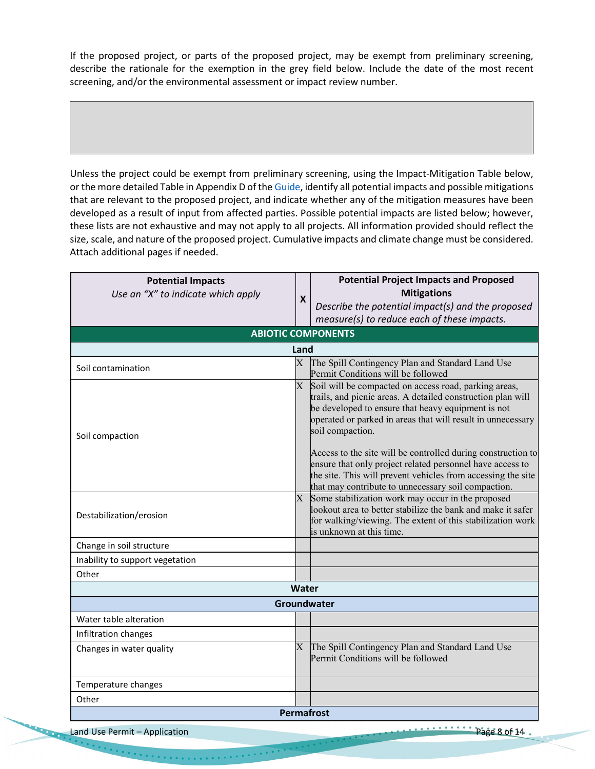If the proposed project, or parts of the proposed project, may be exempt from preliminary screening, describe the rationale for the exemption in the grey field below. Include the date of the most recent screening, and/or the environmental assessment or impact review number.

Unless the project could be exempt from preliminary screening, using the Impact-Mitigation Table below, or the more detailed Table in Appendix D of th[e Guide,](https://wlwb.ca/sites/default/files/2020-09/lwb_guide_to_the_land_use_permitting_process_-_final_-_sep_16_20.pdf) identify all potential impacts and possible mitigations that are relevant to the proposed project, and indicate whether any of the mitigation measures have been developed as a result of input from affected parties. Possible potential impacts are listed below; however, these lists are not exhaustive and may not apply to all projects. All information provided should reflect the size, scale, and nature of the proposed project. Cumulative impacts and climate change must be considered. Attach additional pages if needed.

| <b>Potential Impacts</b>           |                           | <b>Potential Project Impacts and Proposed</b>                                                                      |  |
|------------------------------------|---------------------------|--------------------------------------------------------------------------------------------------------------------|--|
| Use an "X" to indicate which apply | $\boldsymbol{\mathsf{X}}$ | <b>Mitigations</b>                                                                                                 |  |
|                                    |                           | Describe the potential impact(s) and the proposed                                                                  |  |
|                                    |                           | measure(s) to reduce each of these impacts.                                                                        |  |
|                                    |                           | <b>ABIOTIC COMPONENTS</b>                                                                                          |  |
|                                    | Land                      |                                                                                                                    |  |
| Soil contamination                 | $\mathbf{X}$              | The Spill Contingency Plan and Standard Land Use                                                                   |  |
|                                    |                           | Permit Conditions will be followed                                                                                 |  |
|                                    |                           | $X$ Soil will be compacted on access road, parking areas,                                                          |  |
|                                    |                           | trails, and picnic areas. A detailed construction plan will<br>be developed to ensure that heavy equipment is not  |  |
|                                    |                           | operated or parked in areas that will result in unnecessary                                                        |  |
|                                    |                           | soil compaction.                                                                                                   |  |
| Soil compaction                    |                           |                                                                                                                    |  |
|                                    |                           | Access to the site will be controlled during construction to                                                       |  |
|                                    |                           | ensure that only project related personnel have access to                                                          |  |
|                                    |                           | the site. This will prevent vehicles from accessing the site                                                       |  |
|                                    |                           | that may contribute to unnecessary soil compaction.                                                                |  |
|                                    |                           | X Some stabilization work may occur in the proposed<br>lookout area to better stabilize the bank and make it safer |  |
| Destabilization/erosion            |                           | for walking/viewing. The extent of this stabilization work                                                         |  |
|                                    |                           | is unknown at this time.                                                                                           |  |
| Change in soil structure           |                           |                                                                                                                    |  |
| Inability to support vegetation    |                           |                                                                                                                    |  |
| Other                              |                           |                                                                                                                    |  |
|                                    | Water                     |                                                                                                                    |  |
|                                    |                           | Groundwater                                                                                                        |  |
| Water table alteration             |                           |                                                                                                                    |  |
| Infiltration changes               |                           |                                                                                                                    |  |
| Changes in water quality           |                           | X The Spill Contingency Plan and Standard Land Use                                                                 |  |
|                                    |                           | Permit Conditions will be followed                                                                                 |  |
| Temperature changes                |                           |                                                                                                                    |  |
|                                    |                           |                                                                                                                    |  |
| Other                              |                           |                                                                                                                    |  |
| <b>Permafrost</b>                  |                           |                                                                                                                    |  |

Land Use Permit – Application Page 8 of 14 and Use Permit – Application

 $\label{eq:2} \begin{split} \mathcal{F}^{(1)}(x) &= \mathcal{F}^{(1)}(x) + \mathcal{F}^{(1)}(x) + \mathcal{F}^{(1)}(x) + \mathcal{F}^{(2)}(x) \end{split}$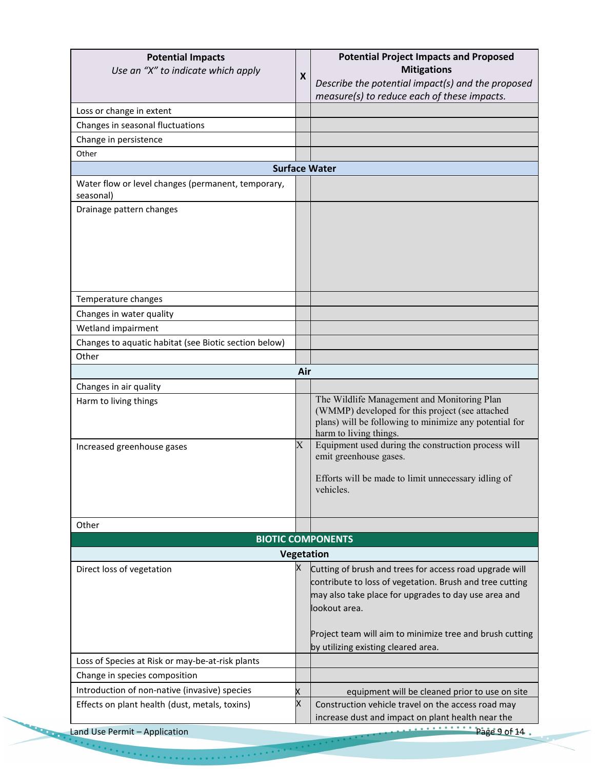| <b>Potential Impacts</b><br>Use an "X" to indicate which apply | $\boldsymbol{\mathsf{x}}$ | <b>Potential Project Impacts and Proposed</b><br><b>Mitigations</b>                                                                                                                |
|----------------------------------------------------------------|---------------------------|------------------------------------------------------------------------------------------------------------------------------------------------------------------------------------|
|                                                                |                           | Describe the potential impact(s) and the proposed<br>measure(s) to reduce each of these impacts.                                                                                   |
| Loss or change in extent                                       |                           |                                                                                                                                                                                    |
| Changes in seasonal fluctuations                               |                           |                                                                                                                                                                                    |
| Change in persistence                                          |                           |                                                                                                                                                                                    |
| Other                                                          |                           |                                                                                                                                                                                    |
|                                                                |                           | <b>Surface Water</b>                                                                                                                                                               |
| Water flow or level changes (permanent, temporary,             |                           |                                                                                                                                                                                    |
| seasonal)                                                      |                           |                                                                                                                                                                                    |
| Drainage pattern changes                                       |                           |                                                                                                                                                                                    |
|                                                                |                           |                                                                                                                                                                                    |
|                                                                |                           |                                                                                                                                                                                    |
|                                                                |                           |                                                                                                                                                                                    |
|                                                                |                           |                                                                                                                                                                                    |
|                                                                |                           |                                                                                                                                                                                    |
|                                                                |                           |                                                                                                                                                                                    |
| Temperature changes                                            |                           |                                                                                                                                                                                    |
| Changes in water quality                                       |                           |                                                                                                                                                                                    |
| Wetland impairment                                             |                           |                                                                                                                                                                                    |
| Changes to aquatic habitat (see Biotic section below)          |                           |                                                                                                                                                                                    |
| Other                                                          |                           |                                                                                                                                                                                    |
|                                                                | Air                       |                                                                                                                                                                                    |
| Changes in air quality                                         |                           |                                                                                                                                                                                    |
| Harm to living things                                          |                           | The Wildlife Management and Monitoring Plan<br>(WMMP) developed for this project (see attached<br>plans) will be following to minimize any potential for<br>harm to living things. |
| Increased greenhouse gases                                     | $\rm X$                   | Equipment used during the construction process will<br>emit greenhouse gases.                                                                                                      |
|                                                                |                           | Efforts will be made to limit unnecessary idling of<br>vehicles.                                                                                                                   |
|                                                                |                           |                                                                                                                                                                                    |
|                                                                |                           |                                                                                                                                                                                    |
| Other                                                          |                           |                                                                                                                                                                                    |
|                                                                |                           | <b>BIOTIC COMPONENTS</b>                                                                                                                                                           |
|                                                                |                           | Vegetation                                                                                                                                                                         |
| Direct loss of vegetation                                      | х                         | Cutting of brush and trees for access road upgrade will                                                                                                                            |
|                                                                |                           | contribute to loss of vegetation. Brush and tree cutting                                                                                                                           |
|                                                                |                           | may also take place for upgrades to day use area and                                                                                                                               |
|                                                                |                           | lookout area.                                                                                                                                                                      |
|                                                                |                           |                                                                                                                                                                                    |
|                                                                |                           | Project team will aim to minimize tree and brush cutting                                                                                                                           |
|                                                                |                           | by utilizing existing cleared area.                                                                                                                                                |
| Loss of Species at Risk or may-be-at-risk plants               |                           |                                                                                                                                                                                    |
| Change in species composition                                  |                           |                                                                                                                                                                                    |
| Introduction of non-native (invasive) species                  |                           | equipment will be cleaned prior to use on site                                                                                                                                     |
| Effects on plant health (dust, metals, toxins)                 | X                         | Construction vehicle travel on the access road may<br>increase dust and impact on plant health near the                                                                            |
| Land Use Permit - Application                                  |                           | Page 9 of 14.                                                                                                                                                                      |

 $\label{eq:2.1} \frac{1}{2} \left( \frac{1}{2} \left( \frac{1}{2} \left( \frac{1}{2} \right) \left( \frac{1}{2} \left( \frac{1}{2} \right) \left( \frac{1}{2} \right) \left( \frac{1}{2} \right) \left( \frac{1}{2} \left( \frac{1}{2} \right) \left( \frac{1}{2} \right) \left( \frac{1}{2} \right) \left( \frac{1}{2} \right) \left( \frac{1}{2} \right) \left( \frac{1}{2} \right) \left( \frac{1}{2} \right) \left( \frac{1}{2} \right) \left( \frac{1}{$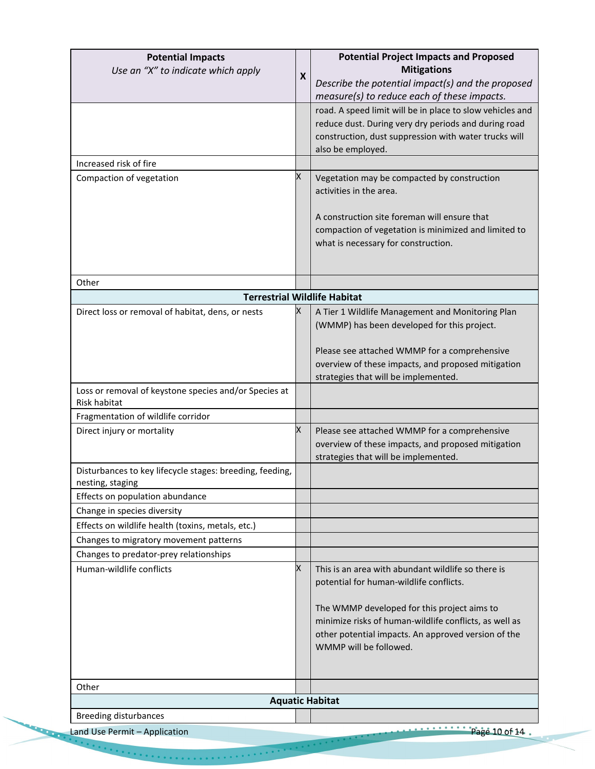| <b>Potential Impacts</b><br>Use an "X" to indicate which apply               | X | <b>Potential Project Impacts and Proposed</b><br><b>Mitigations</b><br>Describe the potential impact(s) and the proposed<br>measure(s) to reduce each of these impacts.                                                                                                                 |
|------------------------------------------------------------------------------|---|-----------------------------------------------------------------------------------------------------------------------------------------------------------------------------------------------------------------------------------------------------------------------------------------|
|                                                                              |   | road. A speed limit will be in place to slow vehicles and<br>reduce dust. During very dry periods and during road<br>construction, dust suppression with water trucks will<br>also be employed.                                                                                         |
| Increased risk of fire                                                       |   |                                                                                                                                                                                                                                                                                         |
| Compaction of vegetation                                                     | Χ | Vegetation may be compacted by construction<br>activities in the area.<br>A construction site foreman will ensure that<br>compaction of vegetation is minimized and limited to<br>what is necessary for construction.                                                                   |
| Other                                                                        |   |                                                                                                                                                                                                                                                                                         |
|                                                                              |   | <b>Terrestrial Wildlife Habitat</b>                                                                                                                                                                                                                                                     |
| Direct loss or removal of habitat, dens, or nests                            | х | A Tier 1 Wildlife Management and Monitoring Plan<br>(WMMP) has been developed for this project.<br>Please see attached WMMP for a comprehensive<br>overview of these impacts, and proposed mitigation<br>strategies that will be implemented.                                           |
| Loss or removal of keystone species and/or Species at<br>Risk habitat        |   |                                                                                                                                                                                                                                                                                         |
| Fragmentation of wildlife corridor                                           |   |                                                                                                                                                                                                                                                                                         |
| Direct injury or mortality                                                   | Χ | Please see attached WMMP for a comprehensive<br>overview of these impacts, and proposed mitigation<br>strategies that will be implemented.                                                                                                                                              |
| Disturbances to key lifecycle stages: breeding, feeding,<br>nesting, staging |   |                                                                                                                                                                                                                                                                                         |
| Effects on population abundance                                              |   |                                                                                                                                                                                                                                                                                         |
| Change in species diversity                                                  |   |                                                                                                                                                                                                                                                                                         |
| Effects on wildlife health (toxins, metals, etc.)                            |   |                                                                                                                                                                                                                                                                                         |
| Changes to migratory movement patterns                                       |   |                                                                                                                                                                                                                                                                                         |
| Changes to predator-prey relationships<br>Human-wildlife conflicts           | X | This is an area with abundant wildlife so there is<br>potential for human-wildlife conflicts.<br>The WMMP developed for this project aims to<br>minimize risks of human-wildlife conflicts, as well as<br>other potential impacts. An approved version of the<br>WMMP will be followed. |
| Other                                                                        |   |                                                                                                                                                                                                                                                                                         |
|                                                                              |   | <b>Aquatic Habitat</b>                                                                                                                                                                                                                                                                  |
| <b>Breeding disturbances</b>                                                 |   |                                                                                                                                                                                                                                                                                         |
| Land Use Permit - Application                                                |   | $\overline{\cdots}$ Page 10 of 14.                                                                                                                                                                                                                                                      |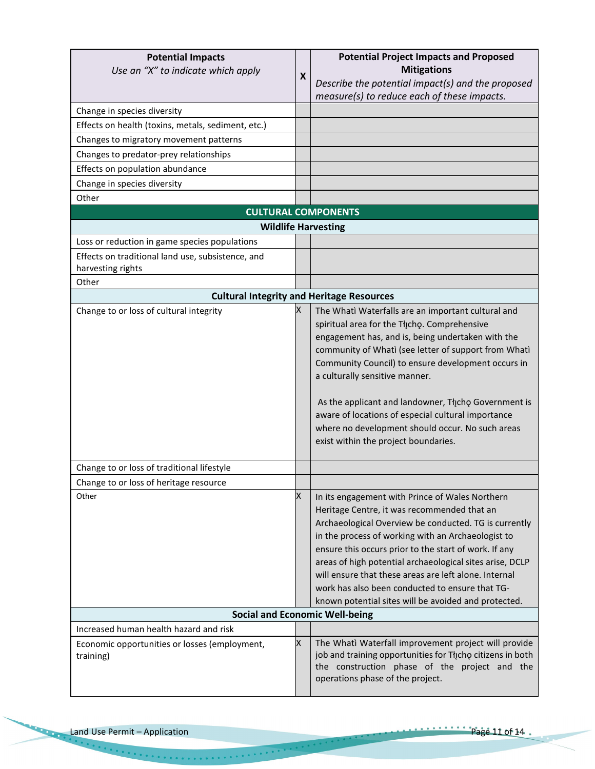| <b>Potential Impacts</b><br>Use an "X" to indicate which apply<br>Change in species diversity<br>Effects on health (toxins, metals, sediment, etc.)<br>Changes to migratory movement patterns<br>Changes to predator-prey relationships<br>Effects on population abundance | X | <b>Potential Project Impacts and Proposed</b><br><b>Mitigations</b><br>Describe the potential impact(s) and the proposed<br>measure(s) to reduce each of these impacts.                                                                                                                                                                                                                                                                                                                                           |
|----------------------------------------------------------------------------------------------------------------------------------------------------------------------------------------------------------------------------------------------------------------------------|---|-------------------------------------------------------------------------------------------------------------------------------------------------------------------------------------------------------------------------------------------------------------------------------------------------------------------------------------------------------------------------------------------------------------------------------------------------------------------------------------------------------------------|
| Change in species diversity                                                                                                                                                                                                                                                |   |                                                                                                                                                                                                                                                                                                                                                                                                                                                                                                                   |
| Other                                                                                                                                                                                                                                                                      |   | <b>CULTURAL COMPONENTS</b>                                                                                                                                                                                                                                                                                                                                                                                                                                                                                        |
| <b>Wildlife Harvesting</b>                                                                                                                                                                                                                                                 |   |                                                                                                                                                                                                                                                                                                                                                                                                                                                                                                                   |
| Loss or reduction in game species populations                                                                                                                                                                                                                              |   |                                                                                                                                                                                                                                                                                                                                                                                                                                                                                                                   |
| Effects on traditional land use, subsistence, and<br>harvesting rights                                                                                                                                                                                                     |   |                                                                                                                                                                                                                                                                                                                                                                                                                                                                                                                   |
| Other                                                                                                                                                                                                                                                                      |   |                                                                                                                                                                                                                                                                                                                                                                                                                                                                                                                   |
|                                                                                                                                                                                                                                                                            |   | <b>Cultural Integrity and Heritage Resources</b>                                                                                                                                                                                                                                                                                                                                                                                                                                                                  |
| Change to or loss of cultural integrity                                                                                                                                                                                                                                    | X | The Whati Waterfalls are an important cultural and<br>spiritual area for the Tłįcho. Comprehensive<br>engagement has, and is, being undertaken with the<br>community of Whati (see letter of support from Whati<br>Community Council) to ensure development occurs in<br>a culturally sensitive manner.<br>As the applicant and landowner, Thicho Government is<br>aware of locations of especial cultural importance<br>where no development should occur. No such areas<br>exist within the project boundaries. |
| Change to or loss of traditional lifestyle                                                                                                                                                                                                                                 |   |                                                                                                                                                                                                                                                                                                                                                                                                                                                                                                                   |
| Change to or loss of heritage resource<br>Other                                                                                                                                                                                                                            | X | In its engagement with Prince of Wales Northern<br>Heritage Centre, it was recommended that an<br>Archaeological Overview be conducted. TG is currently<br>in the process of working with an Archaeologist to<br>ensure this occurs prior to the start of work. If any<br>areas of high potential archaeological sites arise, DCLP<br>will ensure that these areas are left alone. Internal<br>work has also been conducted to ensure that TG-<br>known potential sites will be avoided and protected.            |
|                                                                                                                                                                                                                                                                            |   | <b>Social and Economic Well-being</b>                                                                                                                                                                                                                                                                                                                                                                                                                                                                             |
| Increased human health hazard and risk<br>Economic opportunities or losses (employment,<br>training)                                                                                                                                                                       | X | The Whati Waterfall improvement project will provide<br>job and training opportunities for Tłįchę citizens in both<br>the construction phase of the project and the<br>operations phase of the project.                                                                                                                                                                                                                                                                                                           |

**CONTROLLER**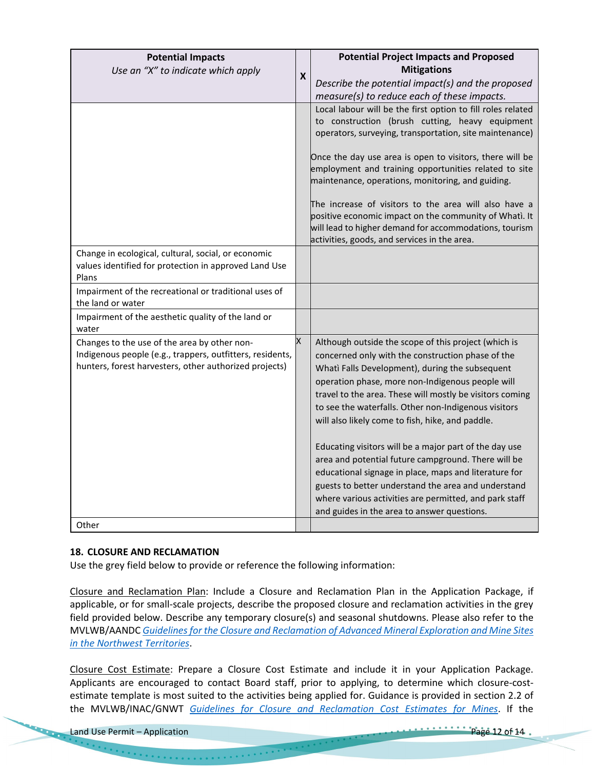| <b>Potential Impacts</b><br>Use an "X" to indicate which apply                                                                                                      | $\boldsymbol{x}$ | <b>Potential Project Impacts and Proposed</b><br><b>Mitigations</b><br>Describe the potential impact(s) and the proposed                                                                                                                                                                                                                                                                                                                                                                                  |
|---------------------------------------------------------------------------------------------------------------------------------------------------------------------|------------------|-----------------------------------------------------------------------------------------------------------------------------------------------------------------------------------------------------------------------------------------------------------------------------------------------------------------------------------------------------------------------------------------------------------------------------------------------------------------------------------------------------------|
|                                                                                                                                                                     |                  | measure(s) to reduce each of these impacts.                                                                                                                                                                                                                                                                                                                                                                                                                                                               |
|                                                                                                                                                                     |                  | Local labour will be the first option to fill roles related<br>to construction (brush cutting, heavy equipment<br>operators, surveying, transportation, site maintenance)                                                                                                                                                                                                                                                                                                                                 |
|                                                                                                                                                                     |                  | Once the day use area is open to visitors, there will be<br>employment and training opportunities related to site<br>maintenance, operations, monitoring, and guiding.                                                                                                                                                                                                                                                                                                                                    |
|                                                                                                                                                                     |                  | The increase of visitors to the area will also have a<br>positive economic impact on the community of Whati. It<br>will lead to higher demand for accommodations, tourism<br>activities, goods, and services in the area.                                                                                                                                                                                                                                                                                 |
| Change in ecological, cultural, social, or economic<br>values identified for protection in approved Land Use<br>Plans                                               |                  |                                                                                                                                                                                                                                                                                                                                                                                                                                                                                                           |
| Impairment of the recreational or traditional uses of<br>the land or water                                                                                          |                  |                                                                                                                                                                                                                                                                                                                                                                                                                                                                                                           |
| Impairment of the aesthetic quality of the land or<br>water                                                                                                         |                  |                                                                                                                                                                                                                                                                                                                                                                                                                                                                                                           |
| Changes to the use of the area by other non-<br>Indigenous people (e.g., trappers, outfitters, residents,<br>hunters, forest harvesters, other authorized projects) | X                | Although outside the scope of this project (which is<br>concerned only with the construction phase of the<br>Whati Falls Development), during the subsequent<br>operation phase, more non-Indigenous people will<br>travel to the area. These will mostly be visitors coming<br>to see the waterfalls. Other non-Indigenous visitors<br>will also likely come to fish, hike, and paddle.<br>Educating visitors will be a major part of the day use<br>area and potential future campground. There will be |
|                                                                                                                                                                     |                  | educational signage in place, maps and literature for<br>guests to better understand the area and understand<br>where various activities are permitted, and park staff<br>and guides in the area to answer questions.                                                                                                                                                                                                                                                                                     |
| Other                                                                                                                                                               |                  |                                                                                                                                                                                                                                                                                                                                                                                                                                                                                                           |

# **18. CLOSURE AND RECLAMATION**

Use the grey field below to provide or reference the following information:

Closure and Reclamation Plan: Include a Closure and Reclamation Plan in the Application Package, if applicable, or for small-scale projects, describe the proposed closure and reclamation activities in the grey field provided below. Describe any temporary closure(s) and seasonal shutdowns. Please also refer to the MVLWB/AANDC *[Guidelines for the Closure and Reclamation of Advanced Mineral Exploration and Mine Sites](https://wlwb.ca/sites/default/files/wlwb_5363_guidelines_closure_reclamation_wr.pdf)  [in the Northwest Territories](https://wlwb.ca/sites/default/files/wlwb_5363_guidelines_closure_reclamation_wr.pdf)*.

Closure Cost Estimate: Prepare a Closure Cost Estimate and include it in your Application Package. Applicants are encouraged to contact Board staff, prior to applying, to determine which closure-costestimate template is most suited to the activities being applied for. Guidance is provided in section 2.2 of the MVLWB/INAC/GNWT *[Guidelines for Closure and Reclamation Cost Estimates for Mines](https://wlwb.ca/sites/default/files/images/Closure%20Cost%20Estimating%20Guidelines_FINAL_Nov%2024%202017.pdf)*. If the

 $\epsilon$  ,  $\epsilon$  ,  $\epsilon$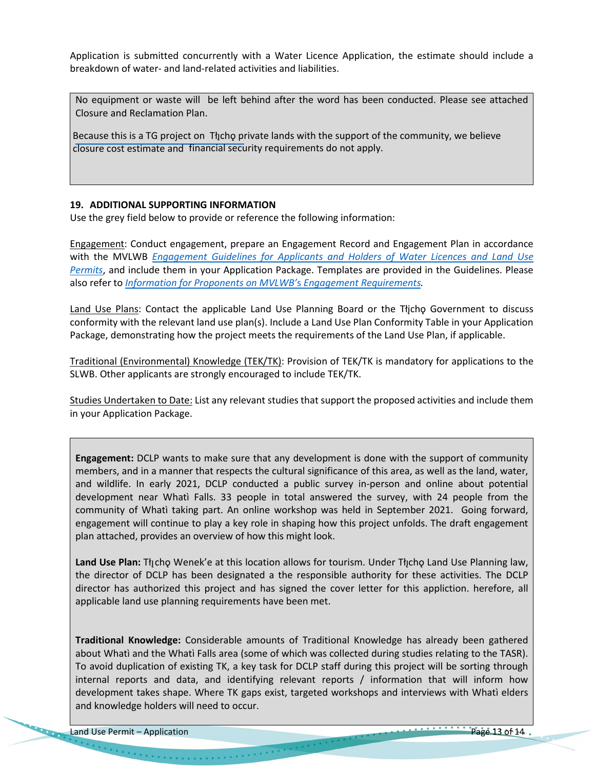Application is submitted concurrently with a Water Licence Application, the estimate should include a breakdown of water- and land-related activities and liabilities.

No equipment or waste will be left behind after the word has been conducted. Please see attached Closure and Reclamation Plan.

Because this is a TG project on The private lands with the support of the community, we believe closure cost estimate and financial security requirements do not apply.

# **19. ADDITIONAL SUPPORTING INFORMATION**

Use the grey field below to provide or reference the following information:

Engagement: Conduct engagement, prepare an Engagement Record and Engagement Plan in accordance with the MVLWB *[Engagement Guidelines for Applicants and Holders of Water Licences and Land Use](https://wlwb.ca/sites/default/files/mvlwb_engagement_guidelines_for_holders_of_lups_and_wls_-_october_2_19.pdf)  [Permits](https://wlwb.ca/sites/default/files/mvlwb_engagement_guidelines_for_holders_of_lups_and_wls_-_october_2_19.pdf)*, and include them in your Application Package. Templates are provided in the Guidelines. Please also refer to *[Information for Proponents on MVLWB'](https://wlwb.ca/sites/default/files/mvlwb_engagement_policy_-_information_for_proponents_-_mar_2_20.pdf)*s *Engagement Requirements.* 

Land Use Plans: Contact the applicable Land Use Planning Board or the Tłjcho Government to discuss conformity with the relevant land use plan(s). Include a Land Use Plan Conformity Table in your Application Package, demonstrating how the project meets the requirements of the Land Use Plan, if applicable.

Traditional (Environmental) Knowledge (TEK/TK): Provision of TEK/TK is mandatory for applications to the SLWB. Other applicants are strongly encouraged to include TEK/TK.

Studies Undertaken to Date: List any relevant studies that support the proposed activities and include them in your Application Package.

**Engagement:** DCLP wants to make sure that any development is done with the support of community members, and in a manner that respects the cultural significance of this area, as well as the land, water, and wildlife. In early 2021, DCLP conducted a public survey in-person and online about potential development near Whatì Falls. 33 people in total answered the survey, with 24 people from the community of Whatì taking part. An online workshop was held in September 2021. Going forward, engagement will continue to play a key role in shaping how this project unfolds. The draft engagement plan attached, provides an overview of how this might look.

Land Use Plan: Tłycho Wenek'e at this location allows for tourism. Under Tłycho Land Use Planning law, the director of DCLP has been designated a the responsible authority for these activities. The DCLP director has authorized this project and has signed the cover letter for this appliction. herefore, all applicable land use planning requirements have been met.

**Traditional Knowledge:** Considerable amounts of Traditional Knowledge has already been gathered about Whatì and the Whatì Falls area (some of which was collected during studies relating to the TASR). To avoid duplication of existing TK, a key task for DCLP staff during this project will be sorting through internal reports and data, and identifying relevant reports / information that will inform how development takes shape. Where TK gaps exist, targeted workshops and interviews with Whatì elders and knowledge holders will need to occur.